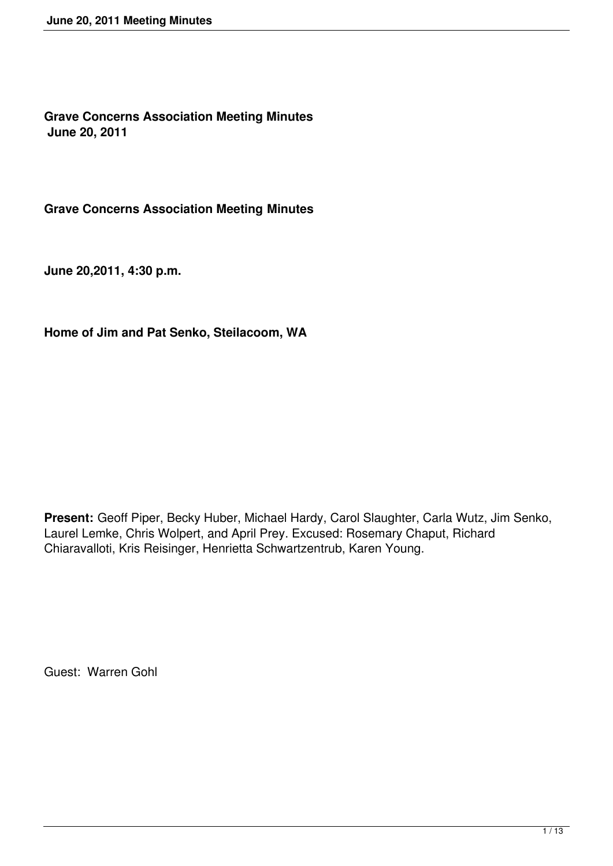**Grave Concerns Association Meeting Minutes June 20, 2011**

**Grave Concerns Association Meeting Minutes**

**June 20,2011, 4:30 p.m.**

**Home of Jim and Pat Senko, Steilacoom, WA**

**Present:** Geoff Piper, Becky Huber, Michael Hardy, Carol Slaughter, Carla Wutz, Jim Senko, Laurel Lemke, Chris Wolpert, and April Prey. Excused: Rosemary Chaput, Richard Chiaravalloti, Kris Reisinger, Henrietta Schwartzentrub, Karen Young.

Guest: Warren Gohl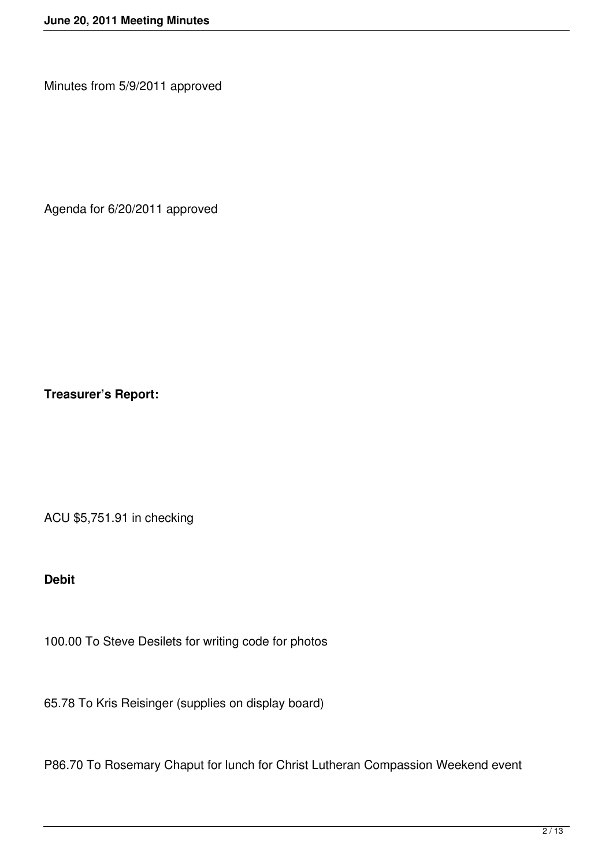Minutes from 5/9/2011 approved

Agenda for 6/20/2011 approved

**Treasurer's Report:**

ACU \$5,751.91 in checking

**Debit**

100.00 To Steve Desilets for writing code for photos

65.78 To Kris Reisinger (supplies on display board)

P86.70 To Rosemary Chaput for lunch for Christ Lutheran Compassion Weekend event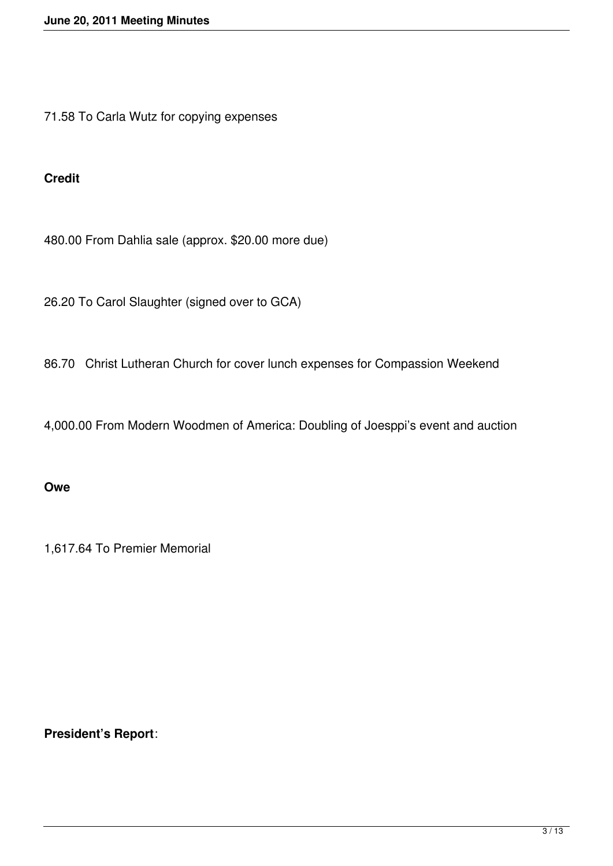71.58 To Carla Wutz for copying expenses

### **Credit**

480.00 From Dahlia sale (approx. \$20.00 more due)

26.20 To Carol Slaughter (signed over to GCA)

86.70 Christ Lutheran Church for cover lunch expenses for Compassion Weekend

4,000.00 From Modern Woodmen of America: Doubling of Joesppi's event and auction

#### **Owe**

1,617.64 To Premier Memorial

# **President's Report**: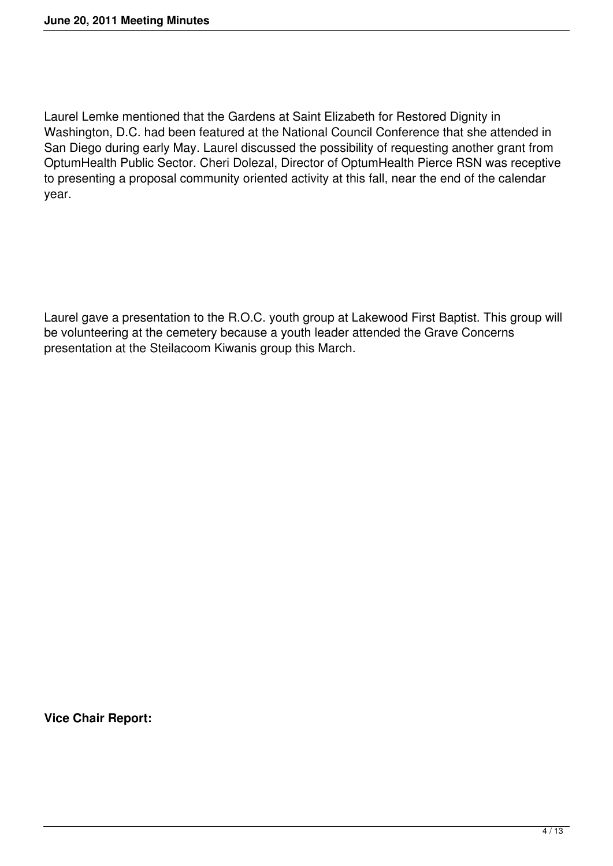Laurel Lemke mentioned that the Gardens at Saint Elizabeth for Restored Dignity in Washington, D.C. had been featured at the National Council Conference that she attended in San Diego during early May. Laurel discussed the possibility of requesting another grant from OptumHealth Public Sector. Cheri Dolezal, Director of OptumHealth Pierce RSN was receptive to presenting a proposal community oriented activity at this fall, near the end of the calendar year.

Laurel gave a presentation to the R.O.C. youth group at Lakewood First Baptist. This group will be volunteering at the cemetery because a youth leader attended the Grave Concerns presentation at the Steilacoom Kiwanis group this March.

**Vice Chair Report:**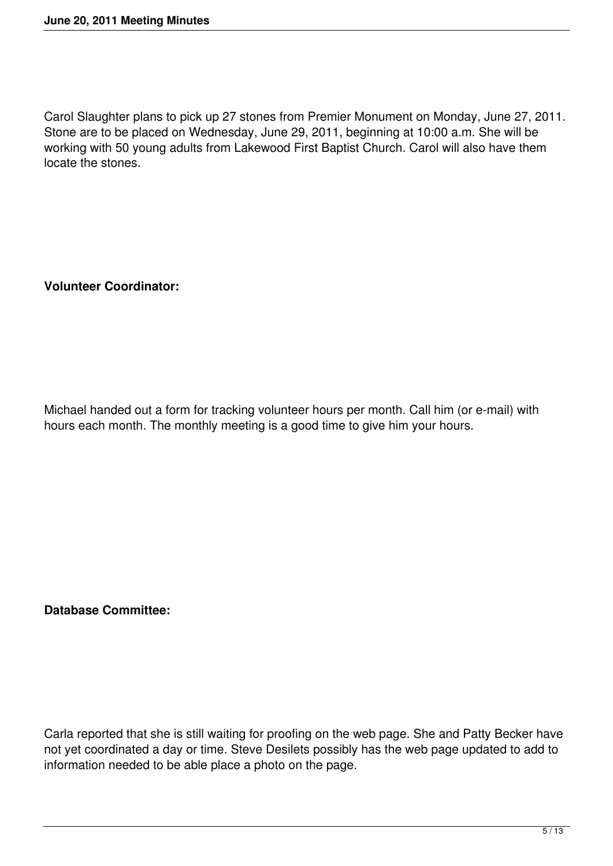Carol Slaughter plans to pick up 27 stones from Premier Monument on Monday, June 27, 2011. Stone are to be placed on Wednesday, June 29, 2011, beginning at 10:00 a.m. She will be working with 50 young adults from Lakewood First Baptist Church. Carol will also have them locate the stones.

**Volunteer Coordinator:**

Michael handed out a form for tracking volunteer hours per month. Call him (or e-mail) with hours each month. The monthly meeting is a good time to give him your hours.

**Database Committee:**

Carla reported that she is still waiting for proofing on the web page. She and Patty Becker have not yet coordinated a day or time. Steve Desilets possibly has the web page updated to add to information needed to be able place a photo on the page.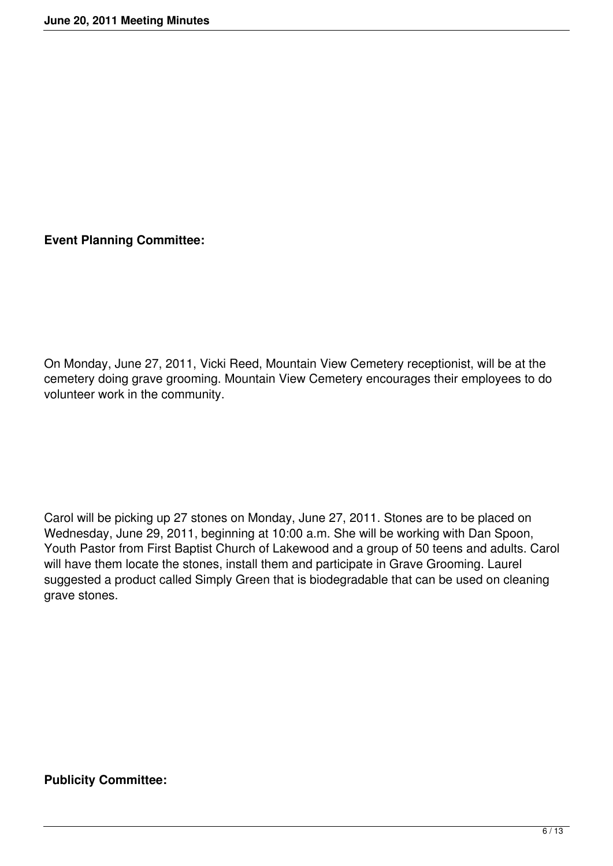**Event Planning Committee:**

On Monday, June 27, 2011, Vicki Reed, Mountain View Cemetery receptionist, will be at the cemetery doing grave grooming. Mountain View Cemetery encourages their employees to do volunteer work in the community.

Carol will be picking up 27 stones on Monday, June 27, 2011. Stones are to be placed on Wednesday, June 29, 2011, beginning at 10:00 a.m. She will be working with Dan Spoon, Youth Pastor from First Baptist Church of Lakewood and a group of 50 teens and adults. Carol will have them locate the stones, install them and participate in Grave Grooming. Laurel suggested a product called Simply Green that is biodegradable that can be used on cleaning grave stones.

# **Publicity Committee:**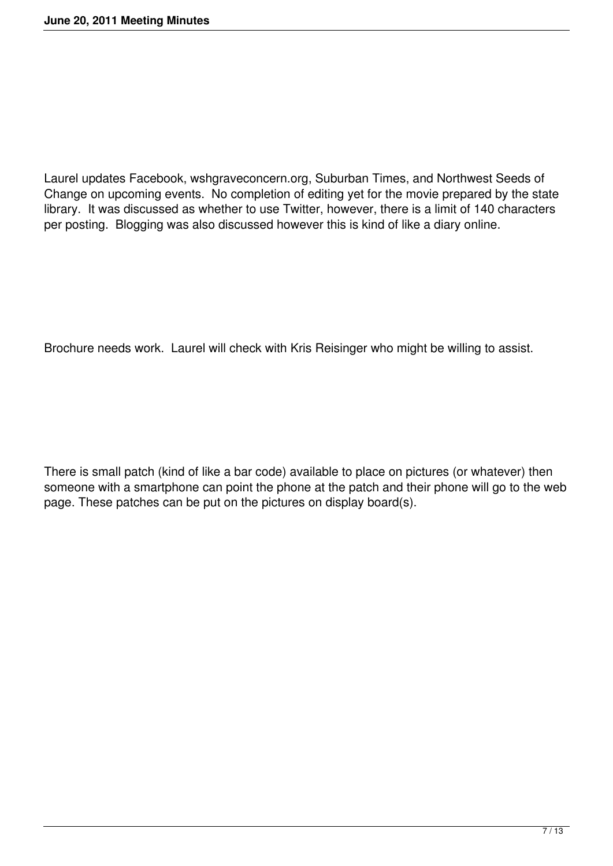Laurel updates Facebook, wshgraveconcern.org, Suburban Times, and Northwest Seeds of Change on upcoming events. No completion of editing yet for the movie prepared by the state library. It was discussed as whether to use Twitter, however, there is a limit of 140 characters per posting. Blogging was also discussed however this is kind of like a diary online.

Brochure needs work. Laurel will check with Kris Reisinger who might be willing to assist.

There is small patch (kind of like a bar code) available to place on pictures (or whatever) then someone with a smartphone can point the phone at the patch and their phone will go to the web page. These patches can be put on the pictures on display board(s).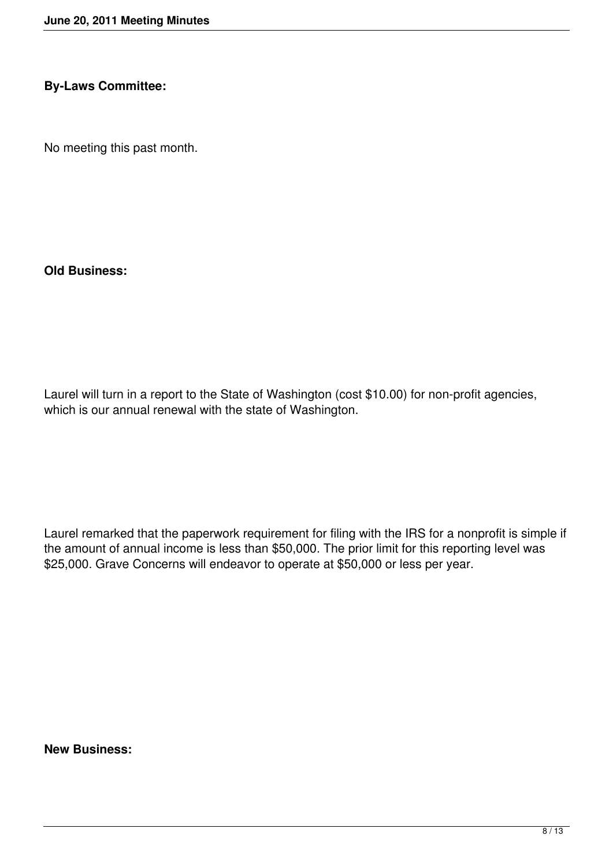#### **By-Laws Committee:**

No meeting this past month.

**Old Business:**

Laurel will turn in a report to the State of Washington (cost \$10.00) for non-profit agencies, which is our annual renewal with the state of Washington.

Laurel remarked that the paperwork requirement for filing with the IRS for a nonprofit is simple if the amount of annual income is less than \$50,000. The prior limit for this reporting level was \$25,000. Grave Concerns will endeavor to operate at \$50,000 or less per year.

**New Business:**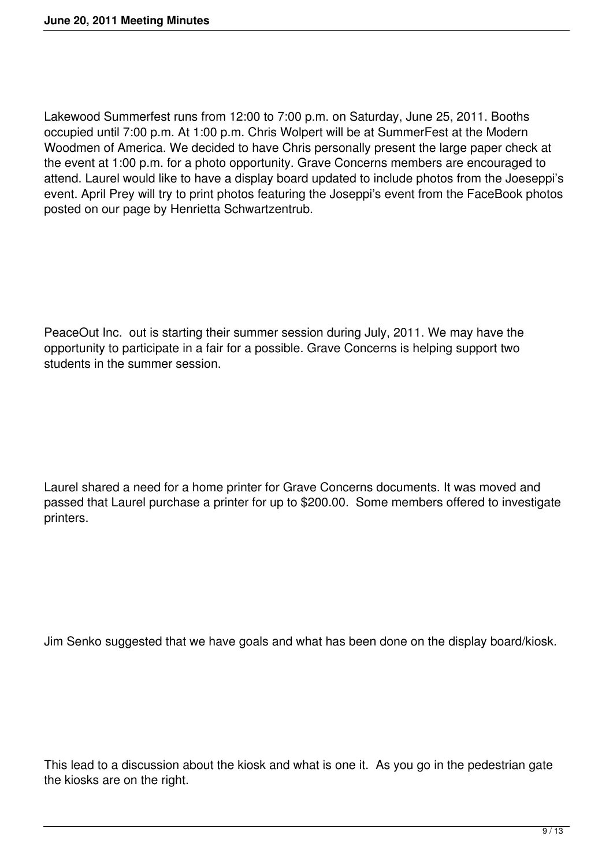Lakewood Summerfest runs from 12:00 to 7:00 p.m. on Saturday, June 25, 2011. Booths occupied until 7:00 p.m. At 1:00 p.m. Chris Wolpert will be at SummerFest at the Modern Woodmen of America. We decided to have Chris personally present the large paper check at the event at 1:00 p.m. for a photo opportunity. Grave Concerns members are encouraged to attend. Laurel would like to have a display board updated to include photos from the Joeseppi's event. April Prey will try to print photos featuring the Joseppi's event from the FaceBook photos posted on our page by Henrietta Schwartzentrub.

PeaceOut Inc. out is starting their summer session during July, 2011. We may have the opportunity to participate in a fair for a possible. Grave Concerns is helping support two students in the summer session.

Laurel shared a need for a home printer for Grave Concerns documents. It was moved and passed that Laurel purchase a printer for up to \$200.00. Some members offered to investigate printers.

Jim Senko suggested that we have goals and what has been done on the display board/kiosk.

This lead to a discussion about the kiosk and what is one it. As you go in the pedestrian gate the kiosks are on the right.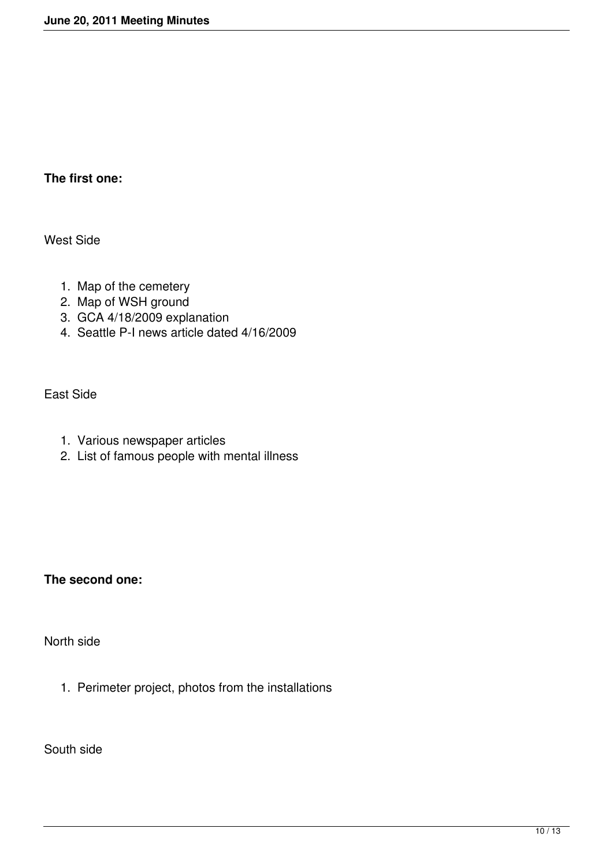# **The first one:**

West Side

- 1. Map of the cemetery
- 2. Map of WSH ground
- 3. GCA 4/18/2009 explanation
- 4. Seattle P-I news article dated 4/16/2009

East Side

- 1. Various newspaper articles
- 2. List of famous people with mental illness

**The second one:**

North side

1. Perimeter project, photos from the installations

South side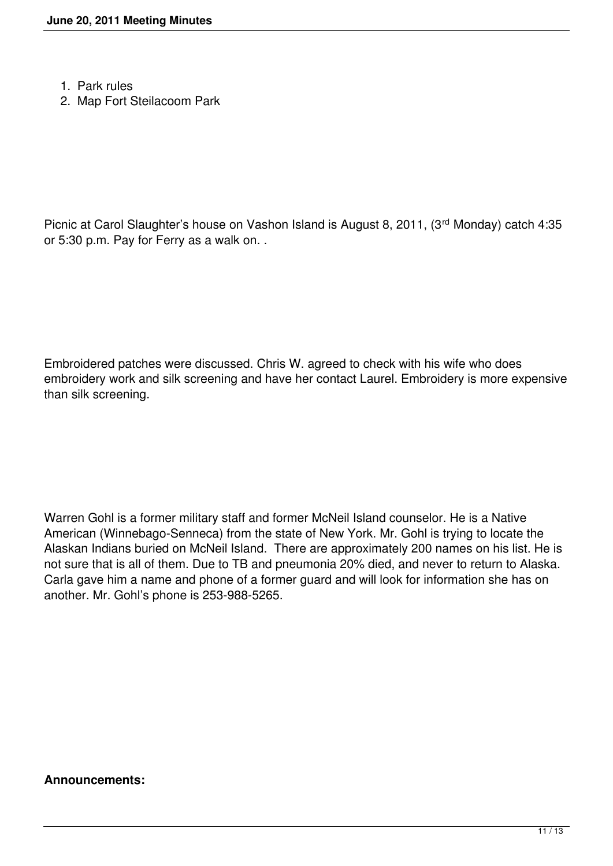- 1. Park rules
- 2. Map Fort Steilacoom Park

Picnic at Carol Slaughter's house on Vashon Island is August 8, 2011, (3rd Monday) catch 4:35 or 5:30 p.m. Pay for Ferry as a walk on. .

Embroidered patches were discussed. Chris W. agreed to check with his wife who does embroidery work and silk screening and have her contact Laurel. Embroidery is more expensive than silk screening.

Warren Gohl is a former military staff and former McNeil Island counselor. He is a Native American (Winnebago-Senneca) from the state of New York. Mr. Gohl is trying to locate the Alaskan Indians buried on McNeil Island. There are approximately 200 names on his list. He is not sure that is all of them. Due to TB and pneumonia 20% died, and never to return to Alaska. Carla gave him a name and phone of a former guard and will look for information she has on another. Mr. Gohl's phone is 253-988-5265.

#### **Announcements:**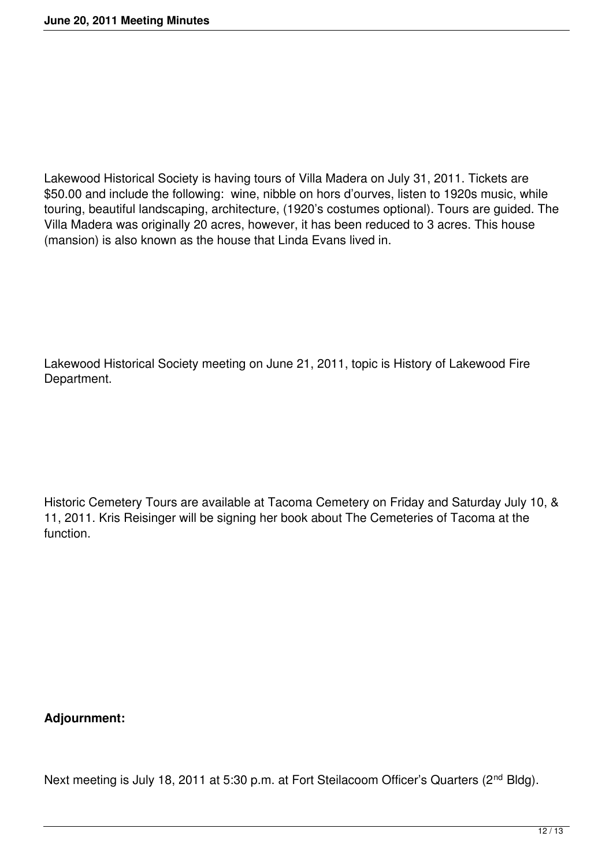Lakewood Historical Society is having tours of Villa Madera on July 31, 2011. Tickets are \$50.00 and include the following: wine, nibble on hors d'ourves, listen to 1920s music, while touring, beautiful landscaping, architecture, (1920's costumes optional). Tours are guided. The Villa Madera was originally 20 acres, however, it has been reduced to 3 acres. This house (mansion) is also known as the house that Linda Evans lived in.

Lakewood Historical Society meeting on June 21, 2011, topic is History of Lakewood Fire Department.

Historic Cemetery Tours are available at Tacoma Cemetery on Friday and Saturday July 10, & 11, 2011. Kris Reisinger will be signing her book about The Cemeteries of Tacoma at the function.

**Adjournment:**

Next meeting is July 18, 2011 at 5:30 p.m. at Fort Steilacoom Officer's Quarters (2<sup>nd</sup> Bldg).